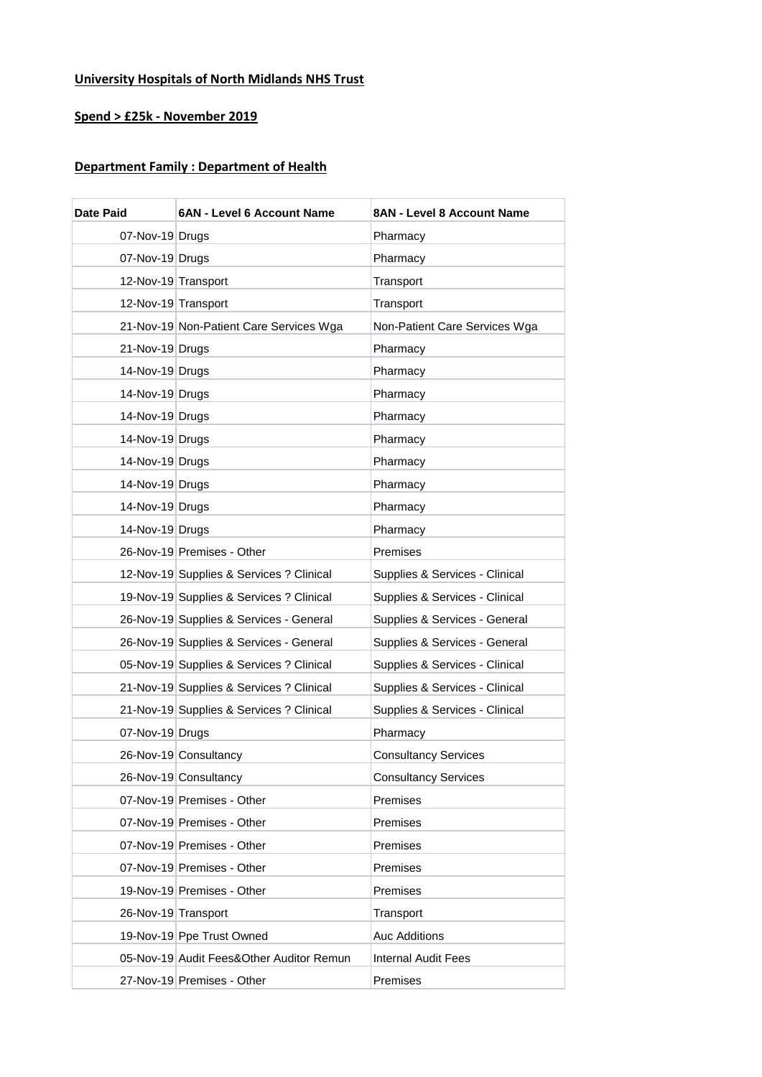## **University Hospitals of North Midlands NHS Trust**

## **Spend > £25k - November 2019**

## **Department Family : Department of Health**

| Date Paid           | 6AN - Level 6 Account Name               | 8AN - Level 8 Account Name     |  |
|---------------------|------------------------------------------|--------------------------------|--|
| 07-Nov-19 Drugs     |                                          | Pharmacy                       |  |
| 07-Nov-19 Drugs     |                                          | Pharmacy                       |  |
| 12-Nov-19 Transport |                                          | Transport                      |  |
| 12-Nov-19 Transport |                                          | Transport                      |  |
|                     | 21-Nov-19 Non-Patient Care Services Wga  | Non-Patient Care Services Wga  |  |
| 21-Nov-19 Drugs     |                                          | Pharmacy                       |  |
| 14-Nov-19 Drugs     |                                          | Pharmacy                       |  |
| 14-Nov-19 Drugs     |                                          | Pharmacy                       |  |
| 14-Nov-19 Drugs     |                                          | Pharmacy                       |  |
| 14-Nov-19 Drugs     |                                          | Pharmacy                       |  |
| 14-Nov-19 Drugs     |                                          | Pharmacy                       |  |
| 14-Nov-19 Drugs     |                                          | Pharmacy                       |  |
| 14-Nov-19 Drugs     |                                          | Pharmacy                       |  |
| 14-Nov-19 Drugs     |                                          | Pharmacy                       |  |
|                     | 26-Nov-19 Premises - Other               | Premises                       |  |
|                     | 12-Nov-19 Supplies & Services ? Clinical | Supplies & Services - Clinical |  |
|                     | 19-Nov-19 Supplies & Services ? Clinical | Supplies & Services - Clinical |  |
|                     | 26-Nov-19 Supplies & Services - General  | Supplies & Services - General  |  |
|                     | 26-Nov-19 Supplies & Services - General  | Supplies & Services - General  |  |
|                     | 05-Nov-19 Supplies & Services ? Clinical | Supplies & Services - Clinical |  |
|                     | 21-Nov-19 Supplies & Services ? Clinical | Supplies & Services - Clinical |  |
|                     | 21-Nov-19 Supplies & Services ? Clinical | Supplies & Services - Clinical |  |
| 07-Nov-19 Drugs     |                                          | Pharmacy                       |  |
|                     | 26-Nov-19 Consultancy                    | <b>Consultancy Services</b>    |  |
|                     | 26-Nov-19 Consultancy                    | <b>Consultancy Services</b>    |  |
|                     | 07-Nov-19 Premises - Other               | Premises                       |  |
|                     | 07-Nov-19 Premises - Other               | Premises                       |  |
|                     | 07-Nov-19 Premises - Other               | Premises                       |  |
|                     | 07-Nov-19 Premises - Other               | Premises                       |  |
|                     | 19-Nov-19 Premises - Other               | Premises                       |  |
| 26-Nov-19 Transport |                                          | Transport                      |  |
|                     | 19-Nov-19 Ppe Trust Owned                | <b>Auc Additions</b>           |  |
|                     | 05-Nov-19 Audit Fees&Other Auditor Remun | <b>Internal Audit Fees</b>     |  |
|                     | 27-Nov-19 Premises - Other               | Premises                       |  |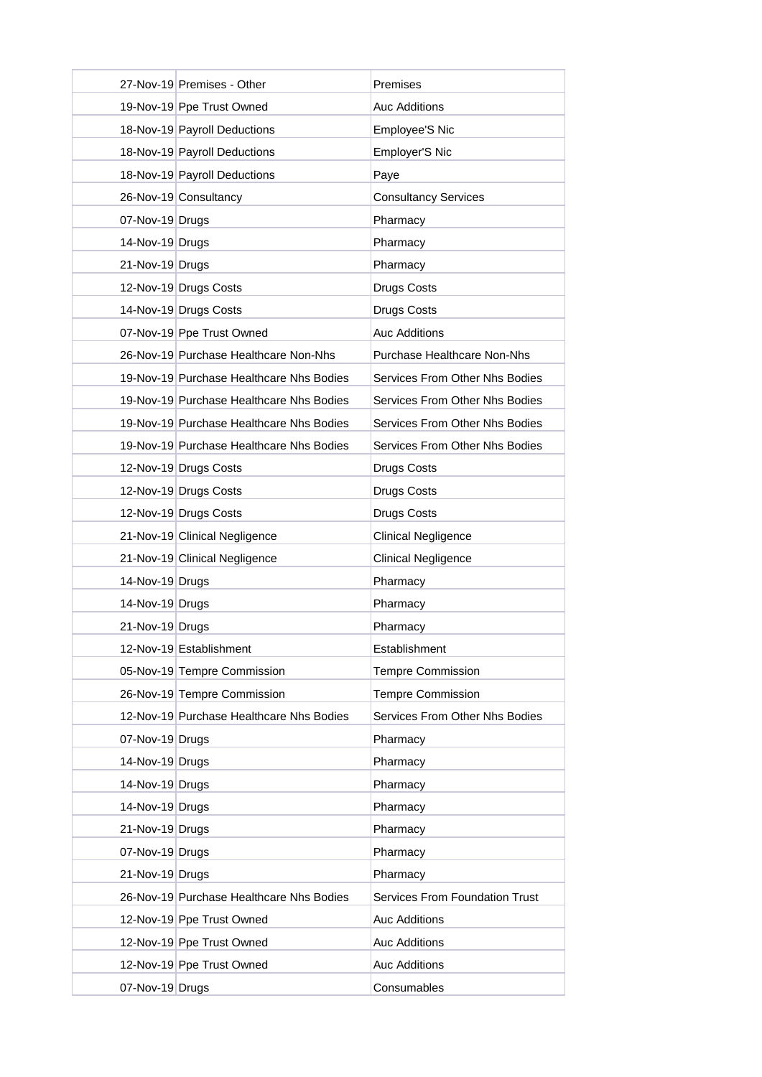|                 | 27-Nov-19 Premises - Other               |                                       |  |
|-----------------|------------------------------------------|---------------------------------------|--|
|                 | 19-Nov-19 Ppe Trust Owned                | Premises<br><b>Auc Additions</b>      |  |
|                 | 18-Nov-19 Payroll Deductions             | Employee'S Nic                        |  |
|                 | 18-Nov-19 Payroll Deductions             | Employer'S Nic                        |  |
|                 | 18-Nov-19 Payroll Deductions             | Paye                                  |  |
|                 | 26-Nov-19 Consultancy                    | <b>Consultancy Services</b>           |  |
| 07-Nov-19 Drugs |                                          | Pharmacy                              |  |
| 14-Nov-19 Drugs |                                          | Pharmacy                              |  |
| 21-Nov-19 Drugs |                                          | Pharmacy                              |  |
|                 | 12-Nov-19 Drugs Costs                    | Drugs Costs                           |  |
|                 | 14-Nov-19 Drugs Costs                    | Drugs Costs                           |  |
|                 | 07-Nov-19 Ppe Trust Owned                | <b>Auc Additions</b>                  |  |
|                 | 26-Nov-19 Purchase Healthcare Non-Nhs    | <b>Purchase Healthcare Non-Nhs</b>    |  |
|                 | 19-Nov-19 Purchase Healthcare Nhs Bodies | Services From Other Nhs Bodies        |  |
|                 | 19-Nov-19 Purchase Healthcare Nhs Bodies | Services From Other Nhs Bodies        |  |
|                 | 19-Nov-19 Purchase Healthcare Nhs Bodies | Services From Other Nhs Bodies        |  |
|                 | 19-Nov-19 Purchase Healthcare Nhs Bodies | Services From Other Nhs Bodies        |  |
|                 | 12-Nov-19 Drugs Costs                    | Drugs Costs                           |  |
|                 | 12-Nov-19 Drugs Costs                    | Drugs Costs                           |  |
|                 | 12-Nov-19 Drugs Costs                    | Drugs Costs                           |  |
|                 | 21-Nov-19 Clinical Negligence            | <b>Clinical Negligence</b>            |  |
|                 | 21-Nov-19 Clinical Negligence            | Clinical Negligence                   |  |
| 14-Nov-19 Drugs |                                          | Pharmacy                              |  |
| 14-Nov-19 Drugs |                                          | Pharmacy                              |  |
| 21-Nov-19 Drugs |                                          | Pharmacy                              |  |
|                 | 12-Nov-19 Establishment                  | Establishment                         |  |
|                 | 05-Nov-19 Tempre Commission              | <b>Tempre Commission</b>              |  |
|                 | 26-Nov-19 Tempre Commission              | <b>Tempre Commission</b>              |  |
|                 | 12-Nov-19 Purchase Healthcare Nhs Bodies | Services From Other Nhs Bodies        |  |
| 07-Nov-19 Drugs |                                          | Pharmacy                              |  |
| 14-Nov-19 Drugs |                                          | Pharmacy                              |  |
| 14-Nov-19 Drugs |                                          | Pharmacy                              |  |
| 14-Nov-19 Drugs |                                          | Pharmacy                              |  |
| 21-Nov-19 Drugs |                                          | Pharmacy                              |  |
| 07-Nov-19 Drugs |                                          | Pharmacy                              |  |
| 21-Nov-19 Drugs |                                          | Pharmacy                              |  |
|                 | 26-Nov-19 Purchase Healthcare Nhs Bodies | <b>Services From Foundation Trust</b> |  |
|                 | 12-Nov-19 Ppe Trust Owned                | <b>Auc Additions</b>                  |  |
|                 | 12-Nov-19 Ppe Trust Owned                | <b>Auc Additions</b>                  |  |
|                 | 12-Nov-19 Ppe Trust Owned                | <b>Auc Additions</b>                  |  |
| 07-Nov-19 Drugs |                                          | Consumables                           |  |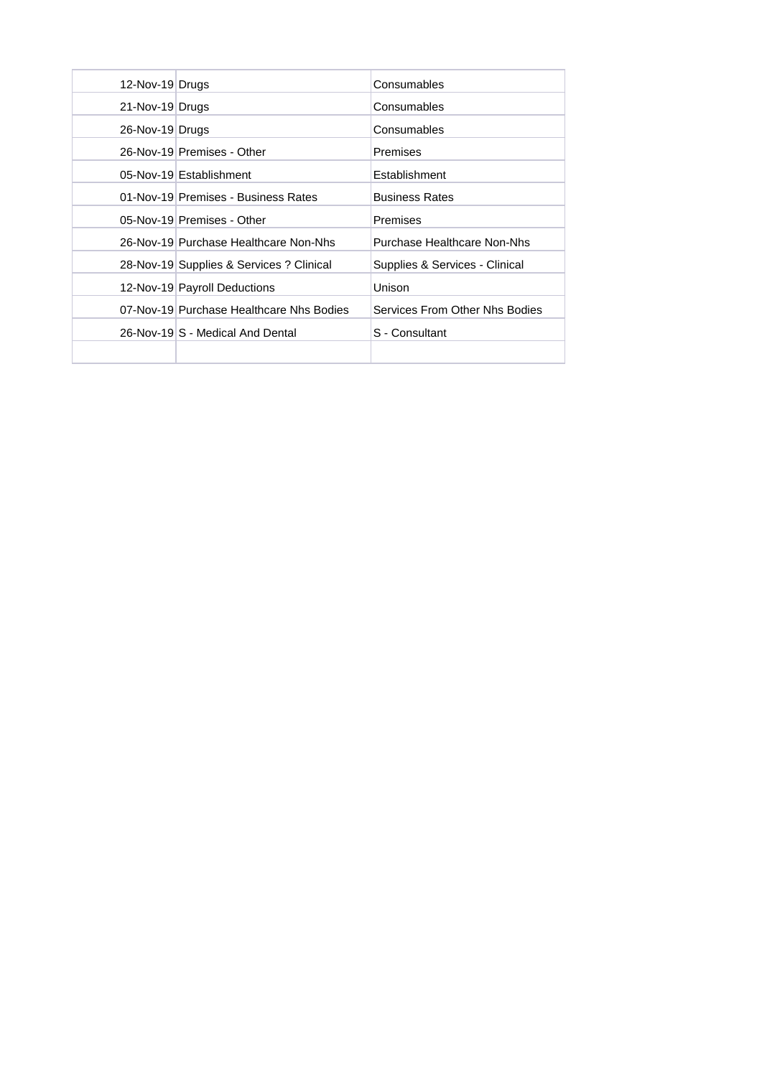| 12-Nov-19 Drugs |                                          | Consumables                    |
|-----------------|------------------------------------------|--------------------------------|
| 21-Nov-19 Drugs |                                          | Consumables                    |
| 26-Nov-19 Drugs |                                          | Consumables                    |
|                 | 26-Nov-19 Premises - Other               | Premises                       |
|                 | 05-Nov-19 Establishment                  | Establishment                  |
|                 | 01-Nov-19 Premises - Business Rates      | <b>Business Rates</b>          |
|                 | 05-Nov-19 Premises - Other               | Premises                       |
|                 | 26-Nov-19 Purchase Healthcare Non-Nhs    | Purchase Healthcare Non-Nhs    |
|                 | 28-Nov-19 Supplies & Services ? Clinical | Supplies & Services - Clinical |
|                 | 12-Nov-19 Payroll Deductions             | Unison                         |
|                 | 07-Nov-19 Purchase Healthcare Nhs Bodies | Services From Other Nhs Bodies |
|                 | 26-Nov-19 S - Medical And Dental         | S - Consultant                 |
|                 |                                          |                                |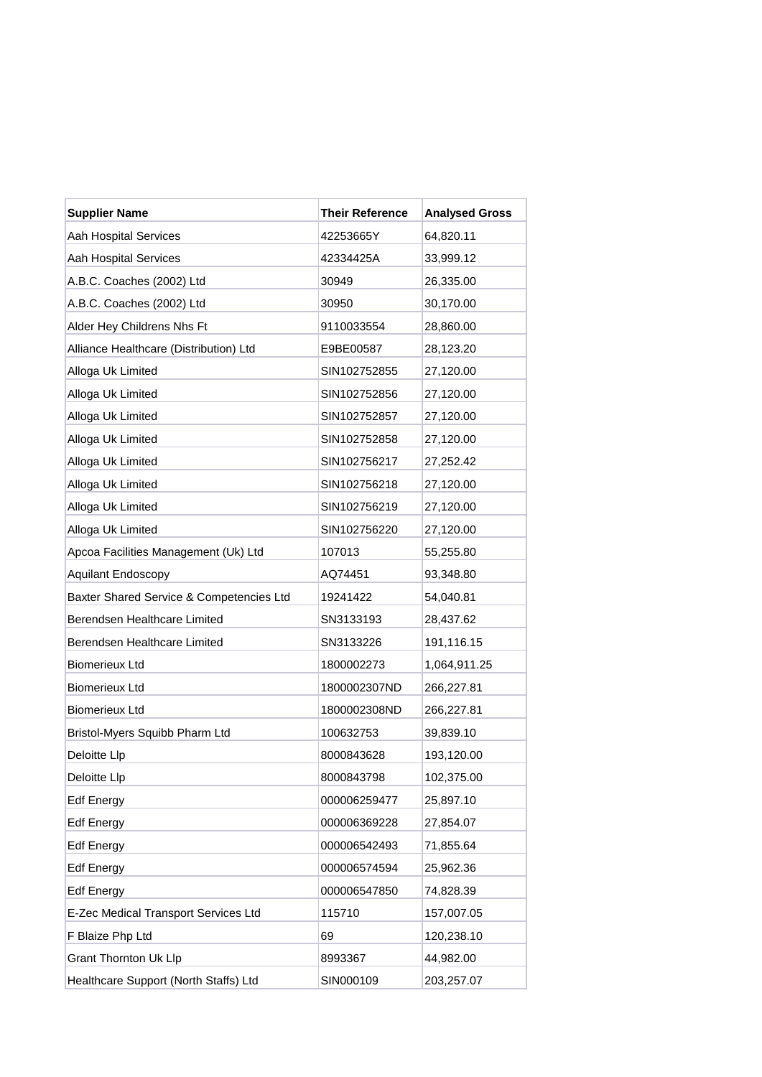| <b>Supplier Name</b>                     | <b>Their Reference</b> | <b>Analysed Gross</b> |
|------------------------------------------|------------------------|-----------------------|
| Aah Hospital Services                    | 42253665Y              | 64,820.11             |
| Aah Hospital Services                    | 42334425A              | 33,999.12             |
| A.B.C. Coaches (2002) Ltd                | 30949                  | 26,335.00             |
| A.B.C. Coaches (2002) Ltd                | 30950                  | 30,170.00             |
| Alder Hey Childrens Nhs Ft               | 9110033554             | 28,860.00             |
| Alliance Healthcare (Distribution) Ltd   | E9BE00587              | 28,123.20             |
| Alloga Uk Limited                        | SIN102752855           | 27,120.00             |
| Alloga Uk Limited                        | SIN102752856           | 27,120.00             |
| Alloga Uk Limited                        | SIN102752857           | 27,120.00             |
| Alloga Uk Limited                        | SIN102752858           | 27,120.00             |
| Alloga Uk Limited                        | SIN102756217           | 27,252.42             |
| Alloga Uk Limited                        | SIN102756218           | 27,120.00             |
| Alloga Uk Limited                        | SIN102756219           | 27,120.00             |
| Alloga Uk Limited                        | SIN102756220           | 27,120.00             |
| Apcoa Facilities Management (Uk) Ltd     | 107013                 | 55,255.80             |
| <b>Aquilant Endoscopy</b>                | AQ74451                | 93,348.80             |
| Baxter Shared Service & Competencies Ltd | 19241422               | 54,040.81             |
| Berendsen Healthcare Limited             | SN3133193              | 28,437.62             |
| Berendsen Healthcare Limited             | SN3133226              | 191,116.15            |
| <b>Biomerieux Ltd</b>                    | 1800002273             | 1,064,911.25          |
| <b>Biomerieux Ltd</b>                    | 1800002307ND           | 266,227.81            |
| <b>Biomerieux Ltd</b>                    | 1800002308ND           | 266,227.81            |
| Bristol-Myers Squibb Pharm Ltd           | 100632753              | 39,839.10             |
| Deloitte Llp                             | 8000843628             | 193,120.00            |
| Deloitte Llp                             | 8000843798             | 102,375.00            |
| <b>Edf Energy</b>                        | 000006259477           | 25,897.10             |
| <b>Edf Energy</b>                        | 000006369228           | 27,854.07             |
| <b>Edf Energy</b>                        | 000006542493           | 71,855.64             |
| <b>Edf Energy</b>                        | 000006574594           | 25,962.36             |
| <b>Edf Energy</b>                        | 000006547850           | 74,828.39             |
| E-Zec Medical Transport Services Ltd     | 115710                 | 157,007.05            |
| F Blaize Php Ltd                         | 69                     | 120,238.10            |
| <b>Grant Thornton Uk Llp</b>             | 8993367                | 44,982.00             |
| Healthcare Support (North Staffs) Ltd    | SIN000109              | 203,257.07            |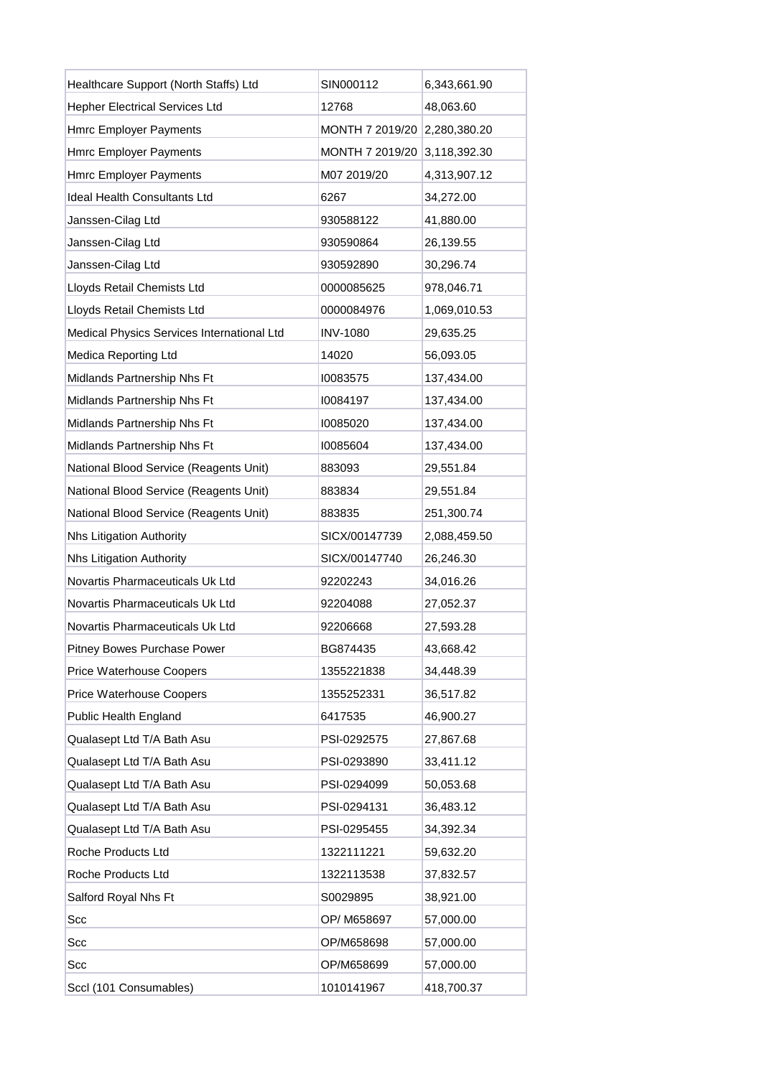| Healthcare Support (North Staffs) Ltd      | SIN000112                    | 6,343,661.90 |
|--------------------------------------------|------------------------------|--------------|
| Hepher Electrical Services Ltd             | 12768                        | 48,063.60    |
| Hmrc Employer Payments                     | MONTH 7 2019/20 2,280,380.20 |              |
| <b>Hmrc Employer Payments</b>              | MONTH 7 2019/20              | 3,118,392.30 |
| Hmrc Employer Payments                     | M07 2019/20                  | 4,313,907.12 |
| Ideal Health Consultants Ltd               | 6267                         | 34,272.00    |
| Janssen-Cilag Ltd                          | 930588122                    | 41,880.00    |
| Janssen-Cilag Ltd                          | 930590864                    | 26,139.55    |
| Janssen-Cilag Ltd                          | 930592890                    | 30,296.74    |
| Lloyds Retail Chemists Ltd                 | 0000085625                   | 978,046.71   |
| Lloyds Retail Chemists Ltd                 | 0000084976                   | 1,069,010.53 |
| Medical Physics Services International Ltd | <b>INV-1080</b>              | 29,635.25    |
| Medica Reporting Ltd                       | 14020                        | 56,093.05    |
| Midlands Partnership Nhs Ft                | 10083575                     | 137,434.00   |
| Midlands Partnership Nhs Ft                | 10084197                     | 137,434.00   |
| Midlands Partnership Nhs Ft                | 10085020                     | 137,434.00   |
| Midlands Partnership Nhs Ft                | 10085604                     | 137,434.00   |
| National Blood Service (Reagents Unit)     | 883093                       | 29,551.84    |
| National Blood Service (Reagents Unit)     | 883834                       | 29,551.84    |
| National Blood Service (Reagents Unit)     | 883835                       | 251,300.74   |
| <b>Nhs Litigation Authority</b>            | SICX/00147739                | 2,088,459.50 |
| <b>Nhs Litigation Authority</b>            | SICX/00147740                | 26,246.30    |
| Novartis Pharmaceuticals Uk Ltd            | 92202243                     | 34,016.26    |
| Novartis Pharmaceuticals Uk Ltd            | 92204088                     | 27,052.37    |
| Novartis Pharmaceuticals Uk Ltd            | 92206668                     | 27,593.28    |
| Pitney Bowes Purchase Power                | BG874435                     | 43,668.42    |
| Price Waterhouse Coopers                   | 1355221838                   | 34,448.39    |
| <b>Price Waterhouse Coopers</b>            | 1355252331                   | 36,517.82    |
| Public Health England                      | 6417535                      | 46,900.27    |
| Qualasept Ltd T/A Bath Asu                 | PSI-0292575                  | 27,867.68    |
| Qualasept Ltd T/A Bath Asu                 | PSI-0293890                  | 33,411.12    |
| Qualasept Ltd T/A Bath Asu                 | PSI-0294099                  | 50,053.68    |
| Qualasept Ltd T/A Bath Asu                 | PSI-0294131                  | 36,483.12    |
| Qualasept Ltd T/A Bath Asu                 | PSI-0295455                  | 34,392.34    |
| Roche Products Ltd                         | 1322111221                   | 59,632.20    |
| Roche Products Ltd                         | 1322113538                   | 37,832.57    |
| Salford Royal Nhs Ft                       | S0029895                     | 38,921.00    |
| Scc                                        | OP/ M658697                  | 57,000.00    |
| Scc                                        | OP/M658698                   | 57,000.00    |
| Scc                                        | OP/M658699                   | 57,000.00    |
| Sccl (101 Consumables)                     | 1010141967                   | 418,700.37   |